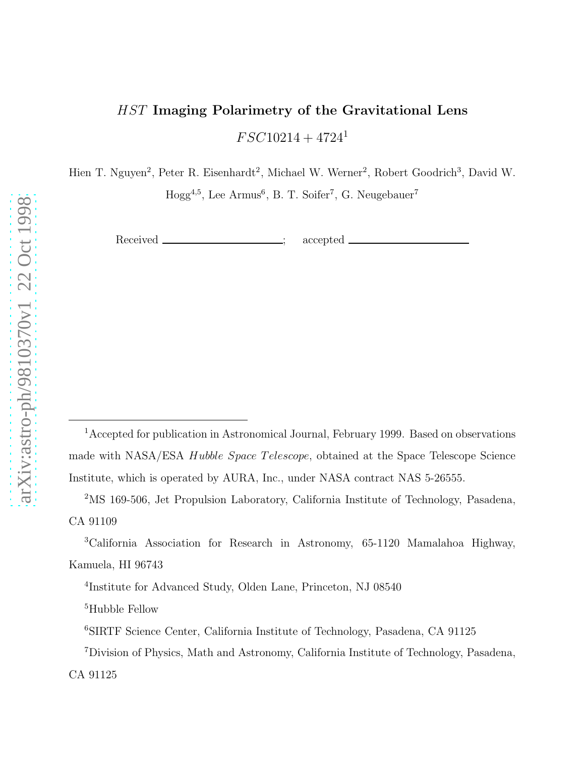# HST Imaging Polarimetry of the Gravitational Lens  $FSC10214 + 4724$ <sup>1</sup>

Hien T. Nguyen<sup>2</sup>, Peter R. Eisenhardt<sup>2</sup>, Michael W. Werner<sup>2</sup>, Robert Goodrich<sup>3</sup>, David W.

Hogg<sup>4,5</sup>, Lee Armus<sup>6</sup>, B. T. Soifer<sup>7</sup>, G. Neugebauer<sup>7</sup>

Received entertainment is accepted.

<sup>1</sup> Accepted for publication in Astronomical Journal, February 1999. Based on observations made with NASA/ESA *Hubble Space Telescope*, obtained at the Space Telescope Science Institute, which is operated by AURA, Inc., under NASA contract NAS 5-26555.

<sup>2</sup>MS 169-506, Jet Propulsion Laboratory, California Institute of Technology, Pasadena, CA 91109

<sup>3</sup>California Association for Research in Astronomy, 65-1120 Mamalahoa Highway, Kamuela, HI 96743

4 Institute for Advanced Study, Olden Lane, Princeton, NJ 08540

<sup>5</sup>Hubble Fellow

<sup>6</sup>SIRTF Science Center, California Institute of Technology, Pasadena, CA 91125

<sup>7</sup>Division of Physics, Math and Astronomy, California Institute of Technology, Pasadena,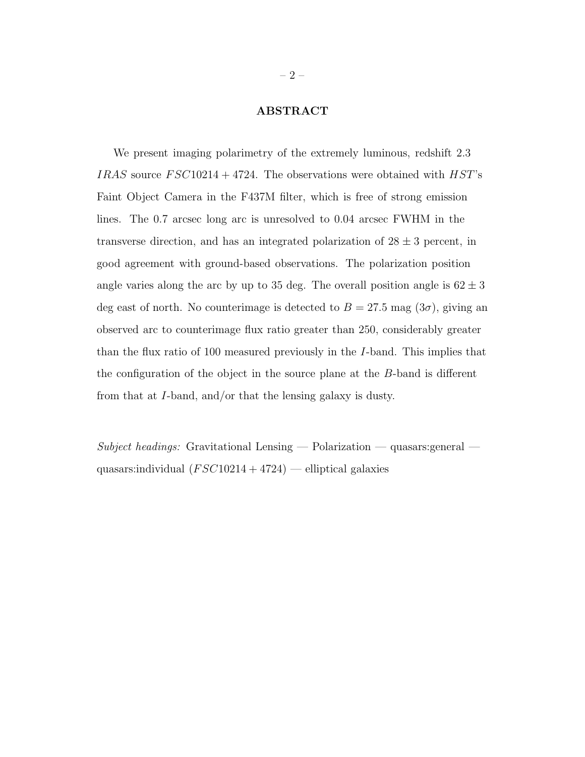## ABSTRACT

We present imaging polarimetry of the extremely luminous, redshift 2.3 *IRAS* source  $FSC10214 + 4724$ . The observations were obtained with  $HST$ 's Faint Object Camera in the F437M filter, which is free of strong emission lines. The 0.7 arcsec long arc is unresolved to 0.04 arcsec FWHM in the transverse direction, and has an integrated polarization of  $28 \pm 3$  percent, in good agreement with ground-based observations. The polarization position angle varies along the arc by up to 35 deg. The overall position angle is  $62 \pm 3$ deg east of north. No counterimage is detected to  $B = 27.5$  mag  $(3\sigma)$ , giving an observed arc to counterimage flux ratio greater than 250, considerably greater than the flux ratio of 100 measured previously in the I-band. This implies that the configuration of the object in the source plane at the B-band is different from that at I-band, and/or that the lensing galaxy is dusty.

*Subject headings:* Gravitational Lensing — Polarization — quasars:general quasars:individual  $(FSC10214 + 4724)$  — elliptical galaxies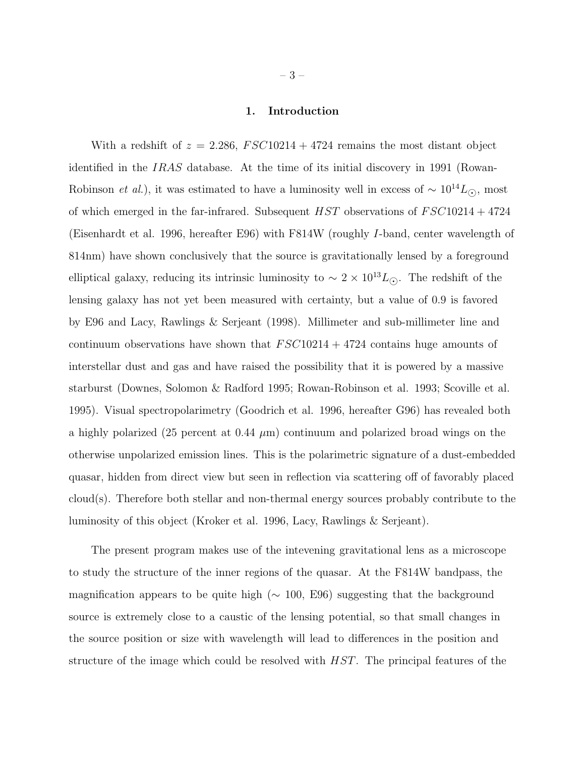#### 1. Introduction

With a redshift of  $z = 2.286$ ,  $FSC10214 + 4724$  remains the most distant object identified in the IRAS database. At the time of its initial discovery in 1991 (Rowan-Robinson *et al.*), it was estimated to have a luminosity well in excess of  $\sim 10^{14}L_{\odot}$ , most of which emerged in the far-infrared. Subsequent  $HST$  observations of  $FSC10214 + 4724$ (Eisenhardt et al. 1996, hereafter E96) with F814W (roughly I-band, center wavelength of 814nm) have shown conclusively that the source is gravitationally lensed by a foreground elliptical galaxy, reducing its intrinsic luminosity to  $\sim 2 \times 10^{13} L_{\odot}$ . The redshift of the lensing galaxy has not yet been measured with certainty, but a value of 0.9 is favored by E96 and Lacy, Rawlings & Serjeant (1998). Millimeter and sub-millimeter line and continuum observations have shown that  $FSC10214 + 4724$  contains huge amounts of interstellar dust and gas and have raised the possibility that it is powered by a massive starburst (Downes, Solomon & Radford 1995; Rowan-Robinson et al. 1993; Scoville et al. 1995). Visual spectropolarimetry (Goodrich et al. 1996, hereafter G96) has revealed both a highly polarized (25 percent at  $0.44 \mu m$ ) continuum and polarized broad wings on the otherwise unpolarized emission lines. This is the polarimetric signature of a dust-embedded quasar, hidden from direct view but seen in reflection via scattering off of favorably placed cloud(s). Therefore both stellar and non-thermal energy sources probably contribute to the luminosity of this object (Kroker et al. 1996, Lacy, Rawlings & Serjeant).

The present program makes use of the intevening gravitational lens as a microscope to study the structure of the inner regions of the quasar. At the F814W bandpass, the magnification appears to be quite high ( $\sim$  100, E96) suggesting that the background source is extremely close to a caustic of the lensing potential, so that small changes in the source position or size with wavelength will lead to differences in the position and structure of the image which could be resolved with HST. The principal features of the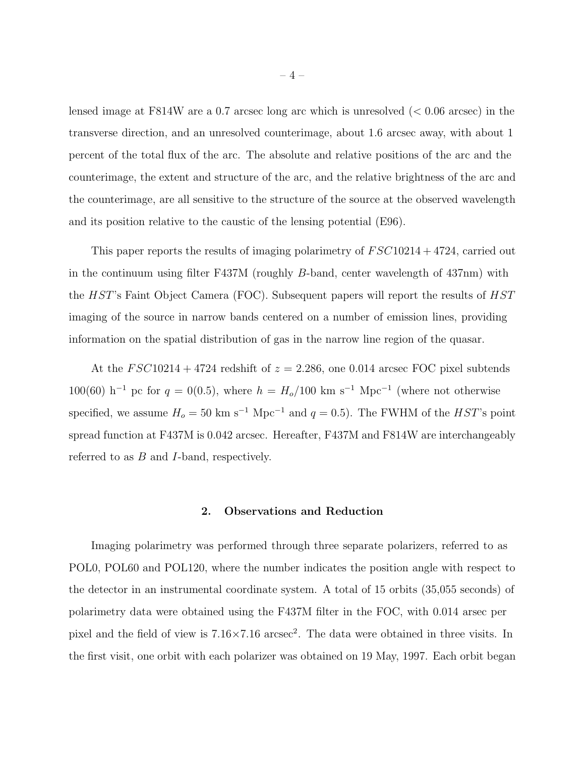lensed image at F814W are a 0.7 arcsec long arc which is unresolved (< 0.06 arcsec) in the transverse direction, and an unresolved counterimage, about 1.6 arcsec away, with about 1 percent of the total flux of the arc. The absolute and relative positions of the arc and the counterimage, the extent and structure of the arc, and the relative brightness of the arc and the counterimage, are all sensitive to the structure of the source at the observed wavelength and its position relative to the caustic of the lensing potential (E96).

This paper reports the results of imaging polarimetry of  $FSC10214 + 4724$ , carried out in the continuum using filter F437M (roughly B-band, center wavelength of 437nm) with the HST's Faint Object Camera (FOC). Subsequent papers will report the results of HST imaging of the source in narrow bands centered on a number of emission lines, providing information on the spatial distribution of gas in the narrow line region of the quasar.

At the  $FSC10214 + 4724$  redshift of  $z = 2.286$ , one 0.014 arcsec FOC pixel subtends 100(60) h<sup>-1</sup> pc for  $q = 0(0.5)$ , where  $h = H_o/100$  km s<sup>-1</sup> Mpc<sup>-1</sup> (where not otherwise specified, we assume  $H_o = 50 \text{ km s}^{-1} \text{ Mpc}^{-1}$  and  $q = 0.5$ ). The FWHM of the  $HST$ 's point spread function at F437M is 0.042 arcsec. Hereafter, F437M and F814W are interchangeably referred to as  $B$  and  $I$ -band, respectively.

#### 2. Observations and Reduction

Imaging polarimetry was performed through three separate polarizers, referred to as POL0, POL60 and POL120, where the number indicates the position angle with respect to the detector in an instrumental coordinate system. A total of 15 orbits (35,055 seconds) of polarimetry data were obtained using the F437M filter in the FOC, with 0.014 arsec per pixel and the field of view is  $7.16 \times 7.16$  arcsec<sup>2</sup>. The data were obtained in three visits. In the first visit, one orbit with each polarizer was obtained on 19 May, 1997. Each orbit began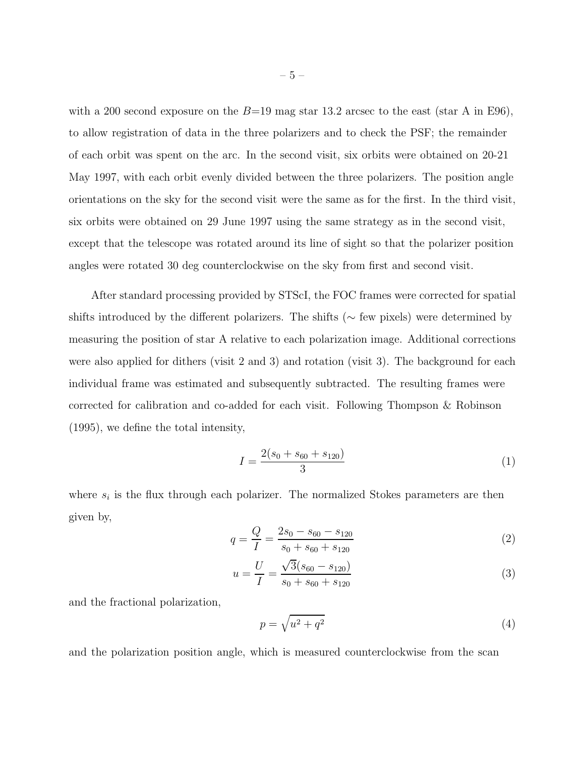with a 200 second exposure on the  $B=19$  mag star 13.2 arcsec to the east (star A in E96), to allow registration of data in the three polarizers and to check the PSF; the remainder of each orbit was spent on the arc. In the second visit, six orbits were obtained on 20-21 May 1997, with each orbit evenly divided between the three polarizers. The position angle orientations on the sky for the second visit were the same as for the first. In the third visit, six orbits were obtained on 29 June 1997 using the same strategy as in the second visit, except that the telescope was rotated around its line of sight so that the polarizer position angles were rotated 30 deg counterclockwise on the sky from first and second visit.

After standard processing provided by STScI, the FOC frames were corrected for spatial shifts introduced by the different polarizers. The shifts ( $\sim$  few pixels) were determined by measuring the position of star A relative to each polarization image. Additional corrections were also applied for dithers (visit 2 and 3) and rotation (visit 3). The background for each individual frame was estimated and subsequently subtracted. The resulting frames were corrected for calibration and co-added for each visit. Following Thompson & Robinson (1995), we define the total intensity,

$$
I = \frac{2(s_0 + s_{60} + s_{120})}{3} \tag{1}
$$

where  $s_i$  is the flux through each polarizer. The normalized Stokes parameters are then given by,

$$
q = \frac{Q}{I} = \frac{2s_0 - s_{60} - s_{120}}{s_0 + s_{60} + s_{120}}\tag{2}
$$

$$
u = \frac{U}{I} = \frac{\sqrt{3}(s_{60} - s_{120})}{s_0 + s_{60} + s_{120}}
$$
\n(3)

and the fractional polarization,

$$
p = \sqrt{u^2 + q^2} \tag{4}
$$

and the polarization position angle, which is measured counterclockwise from the scan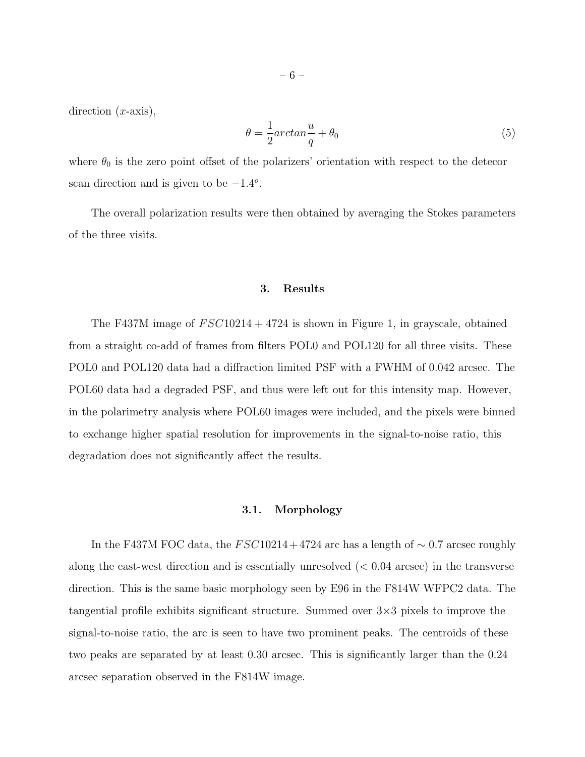direction  $(x\text{-axis})$ ,

$$
\theta = \frac{1}{2}arctan\frac{u}{q} + \theta_0\tag{5}
$$

where  $\theta_0$  is the zero point offset of the polarizers' orientation with respect to the detecor scan direction and is given to be  $-1.4^{\circ}$ .

The overall polarization results were then obtained by averaging the Stokes parameters of the three visits.

## 3. Results

The F437M image of  $FSC10214 + 4724$  is shown in Figure 1, in grayscale, obtained from a straight co-add of frames from filters POL0 and POL120 for all three visits. These POL0 and POL120 data had a diffraction limited PSF with a FWHM of 0.042 arcsec. The POL60 data had a degraded PSF, and thus were left out for this intensity map. However, in the polarimetry analysis where POL60 images were included, and the pixels were binned to exchange higher spatial resolution for improvements in the signal-to-noise ratio, this degradation does not significantly affect the results.

### 3.1. Morphology

In the F437M FOC data, the  $FSC10214+4724$  arc has a length of  $\sim 0.7$  arcsec roughly along the east-west direction and is essentially unresolved  $(< 0.04$  arcsec) in the transverse direction. This is the same basic morphology seen by E96 in the F814W WFPC2 data. The tangential profile exhibits significant structure. Summed over  $3\times3$  pixels to improve the signal-to-noise ratio, the arc is seen to have two prominent peaks. The centroids of these two peaks are separated by at least 0.30 arcsec. This is significantly larger than the 0.24 arcsec separation observed in the F814W image.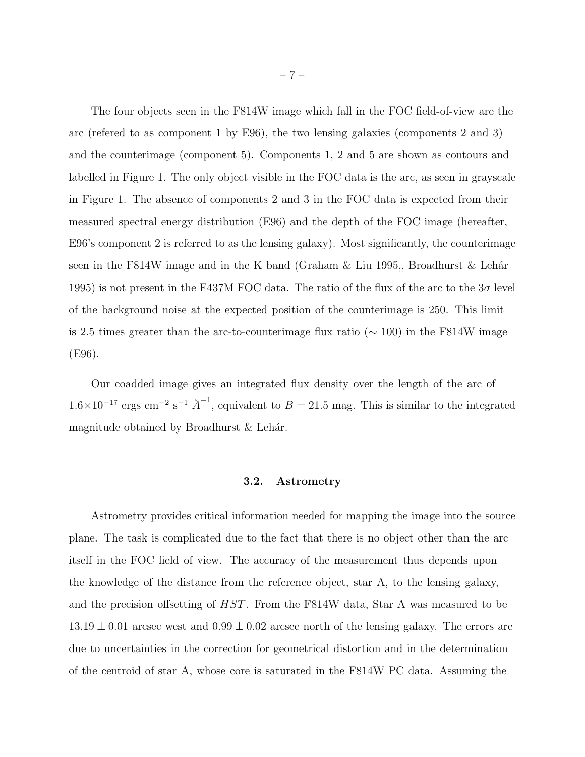The four objects seen in the F814W image which fall in the FOC field-of-view are the arc (refered to as component 1 by E96), the two lensing galaxies (components 2 and 3) and the counterimage (component 5). Components 1, 2 and 5 are shown as contours and labelled in Figure 1. The only object visible in the FOC data is the arc, as seen in grayscale in Figure 1. The absence of components 2 and 3 in the FOC data is expected from their measured spectral energy distribution (E96) and the depth of the FOC image (hereafter, E96's component 2 is referred to as the lensing galaxy). Most significantly, the counterimage seen in the F814W image and in the K band (Graham & Liu 1995, Broadhurst & Lehár 1995) is not present in the F437M FOC data. The ratio of the flux of the arc to the  $3\sigma$  level of the background noise at the expected position of the counterimage is 250. This limit is 2.5 times greater than the arc-to-counterimage flux ratio ( $\sim 100$ ) in the F814W image (E96).

Our coadded image gives an integrated flux density over the length of the arc of  $1.6 \times 10^{-17}$  ergs cm<sup>-2</sup> s<sup>-1</sup>  $\AA$ <sup>-1</sup>, equivalent to  $B = 21.5$  mag. This is similar to the integrated magnitude obtained by Broadhurst  $&$  Lehár.

#### 3.2. Astrometry

Astrometry provides critical information needed for mapping the image into the source plane. The task is complicated due to the fact that there is no object other than the arc itself in the FOC field of view. The accuracy of the measurement thus depends upon the knowledge of the distance from the reference object, star A, to the lensing galaxy, and the precision offsetting of HST. From the F814W data, Star A was measured to be  $13.19 \pm 0.01$  arcsec west and  $0.99 \pm 0.02$  arcsec north of the lensing galaxy. The errors are due to uncertainties in the correction for geometrical distortion and in the determination of the centroid of star A, whose core is saturated in the F814W PC data. Assuming the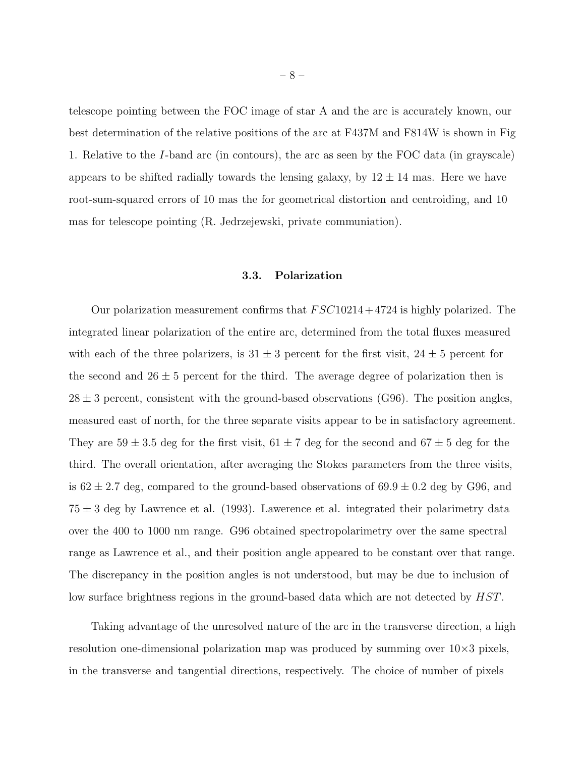telescope pointing between the FOC image of star A and the arc is accurately known, our best determination of the relative positions of the arc at F437M and F814W is shown in Fig 1. Relative to the I-band arc (in contours), the arc as seen by the FOC data (in grayscale) appears to be shifted radially towards the lensing galaxy, by  $12 \pm 14$  mas. Here we have root-sum-squared errors of 10 mas the for geometrical distortion and centroiding, and 10 mas for telescope pointing (R. Jedrzejewski, private communiation).

#### 3.3. Polarization

Our polarization measurement confirms that  $FSC10214 + 4724$  is highly polarized. The integrated linear polarization of the entire arc, determined from the total fluxes measured with each of the three polarizers, is  $31 \pm 3$  percent for the first visit,  $24 \pm 5$  percent for the second and  $26 \pm 5$  percent for the third. The average degree of polarization then is  $28 \pm 3$  percent, consistent with the ground-based observations (G96). The position angles, measured east of north, for the three separate visits appear to be in satisfactory agreement. They are  $59 \pm 3.5$  deg for the first visit,  $61 \pm 7$  deg for the second and  $67 \pm 5$  deg for the third. The overall orientation, after averaging the Stokes parameters from the three visits, is  $62 \pm 2.7$  deg, compared to the ground-based observations of  $69.9 \pm 0.2$  deg by G96, and  $75 \pm 3$  deg by Lawrence et al. (1993). Lawerence et al. integrated their polarimetry data over the 400 to 1000 nm range. G96 obtained spectropolarimetry over the same spectral range as Lawrence et al., and their position angle appeared to be constant over that range. The discrepancy in the position angles is not understood, but may be due to inclusion of low surface brightness regions in the ground-based data which are not detected by  $HST$ .

Taking advantage of the unresolved nature of the arc in the transverse direction, a high resolution one-dimensional polarization map was produced by summing over  $10\times3$  pixels, in the transverse and tangential directions, respectively. The choice of number of pixels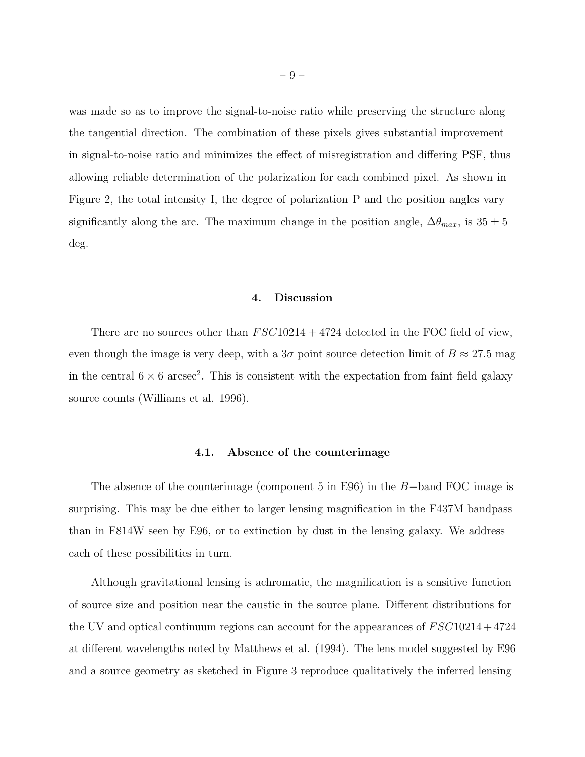was made so as to improve the signal-to-noise ratio while preserving the structure along the tangential direction. The combination of these pixels gives substantial improvement in signal-to-noise ratio and minimizes the effect of misregistration and differing PSF, thus allowing reliable determination of the polarization for each combined pixel. As shown in Figure 2, the total intensity I, the degree of polarization P and the position angles vary significantly along the arc. The maximum change in the position angle,  $\Delta\theta_{max}$ , is  $35 \pm 5$ deg.

#### 4. Discussion

There are no sources other than  $FSC10214 + 4724$  detected in the FOC field of view, even though the image is very deep, with a  $3\sigma$  point source detection limit of  $B \approx 27.5$  mag in the central  $6 \times 6$  arcsec<sup>2</sup>. This is consistent with the expectation from faint field galaxy source counts (Williams et al. 1996).

### 4.1. Absence of the counterimage

The absence of the counterimage (component 5 in E96) in the B−band FOC image is surprising. This may be due either to larger lensing magnification in the F437M bandpass than in F814W seen by E96, or to extinction by dust in the lensing galaxy. We address each of these possibilities in turn.

Although gravitational lensing is achromatic, the magnification is a sensitive function of source size and position near the caustic in the source plane. Different distributions for the UV and optical continuum regions can account for the appearances of  $FSC10214 + 4724$ at different wavelengths noted by Matthews et al. (1994). The lens model suggested by E96 and a source geometry as sketched in Figure 3 reproduce qualitatively the inferred lensing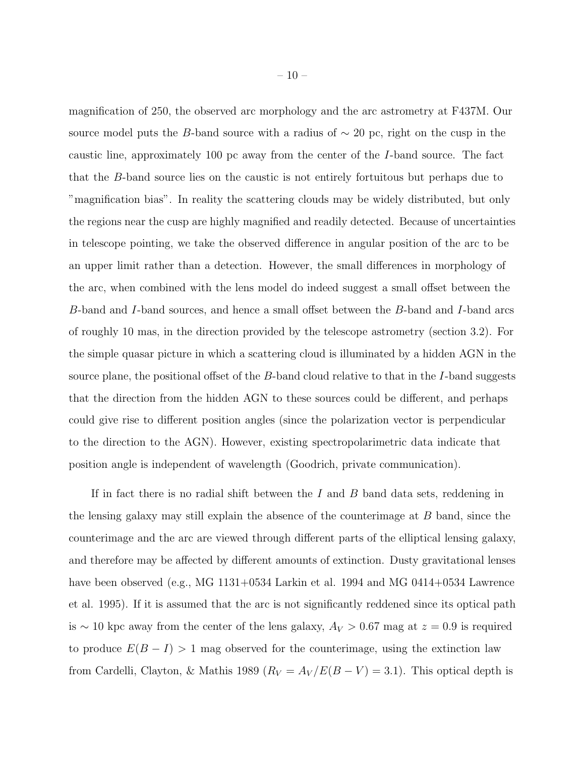magnification of 250, the observed arc morphology and the arc astrometry at F437M. Our source model puts the B-band source with a radius of  $\sim 20$  pc, right on the cusp in the caustic line, approximately 100 pc away from the center of the I-band source. The fact that the B-band source lies on the caustic is not entirely fortuitous but perhaps due to "magnification bias". In reality the scattering clouds may be widely distributed, but only the regions near the cusp are highly magnified and readily detected. Because of uncertainties in telescope pointing, we take the observed difference in angular position of the arc to be an upper limit rather than a detection. However, the small differences in morphology of the arc, when combined with the lens model do indeed suggest a small offset between the B-band and I-band sources, and hence a small offset between the B-band and I-band arcs of roughly 10 mas, in the direction provided by the telescope astrometry (section 3.2). For the simple quasar picture in which a scattering cloud is illuminated by a hidden AGN in the source plane, the positional offset of the  $B$ -band cloud relative to that in the  $I$ -band suggests that the direction from the hidden AGN to these sources could be different, and perhaps could give rise to different position angles (since the polarization vector is perpendicular to the direction to the AGN). However, existing spectropolarimetric data indicate that position angle is independent of wavelength (Goodrich, private communication).

If in fact there is no radial shift between the I and B band data sets, reddening in the lensing galaxy may still explain the absence of the counterimage at B band, since the counterimage and the arc are viewed through different parts of the elliptical lensing galaxy, and therefore may be affected by different amounts of extinction. Dusty gravitational lenses have been observed (e.g., MG 1131+0534 Larkin et al. 1994 and MG 0414+0534 Lawrence et al. 1995). If it is assumed that the arc is not significantly reddened since its optical path is ~ 10 kpc away from the center of the lens galaxy,  $A_V > 0.67$  mag at  $z = 0.9$  is required to produce  $E(B - I) > 1$  mag observed for the counterimage, using the extinction law from Cardelli, Clayton, & Mathis 1989 ( $R_V = A_V / E(B - V) = 3.1$ ). This optical depth is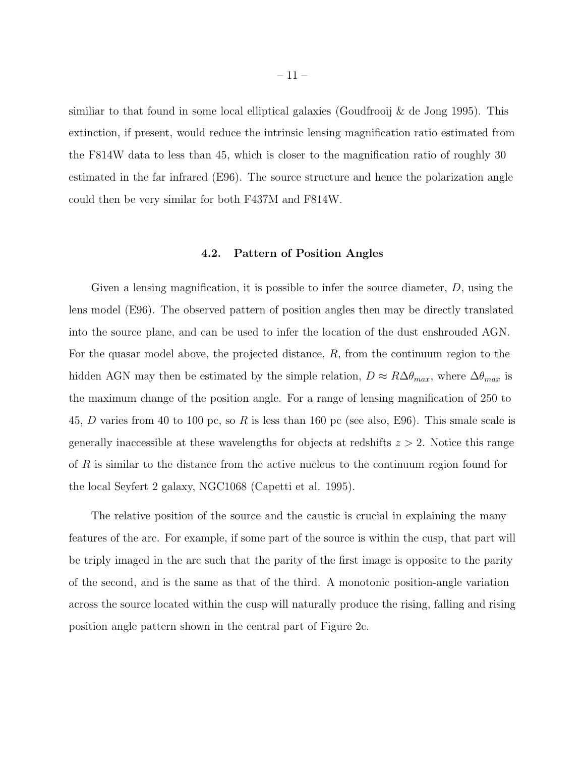similiar to that found in some local elliptical galaxies (Goudfrooij  $\&$  de Jong 1995). This extinction, if present, would reduce the intrinsic lensing magnification ratio estimated from the F814W data to less than 45, which is closer to the magnification ratio of roughly 30 estimated in the far infrared (E96). The source structure and hence the polarization angle could then be very similar for both F437M and F814W.

## 4.2. Pattern of Position Angles

Given a lensing magnification, it is possible to infer the source diameter,  $D$ , using the lens model (E96). The observed pattern of position angles then may be directly translated into the source plane, and can be used to infer the location of the dust enshrouded AGN. For the quasar model above, the projected distance, R, from the continuum region to the hidden AGN may then be estimated by the simple relation,  $D \approx R\Delta\theta_{max}$ , where  $\Delta\theta_{max}$  is the maximum change of the position angle. For a range of lensing magnification of 250 to 45, D varies from 40 to 100 pc, so R is less than 160 pc (see also, E96). This smale scale is generally inaccessible at these wavelengths for objects at redshifts  $z > 2$ . Notice this range of R is similar to the distance from the active nucleus to the continuum region found for the local Seyfert 2 galaxy, NGC1068 (Capetti et al. 1995).

The relative position of the source and the caustic is crucial in explaining the many features of the arc. For example, if some part of the source is within the cusp, that part will be triply imaged in the arc such that the parity of the first image is opposite to the parity of the second, and is the same as that of the third. A monotonic position-angle variation across the source located within the cusp will naturally produce the rising, falling and rising position angle pattern shown in the central part of Figure 2c.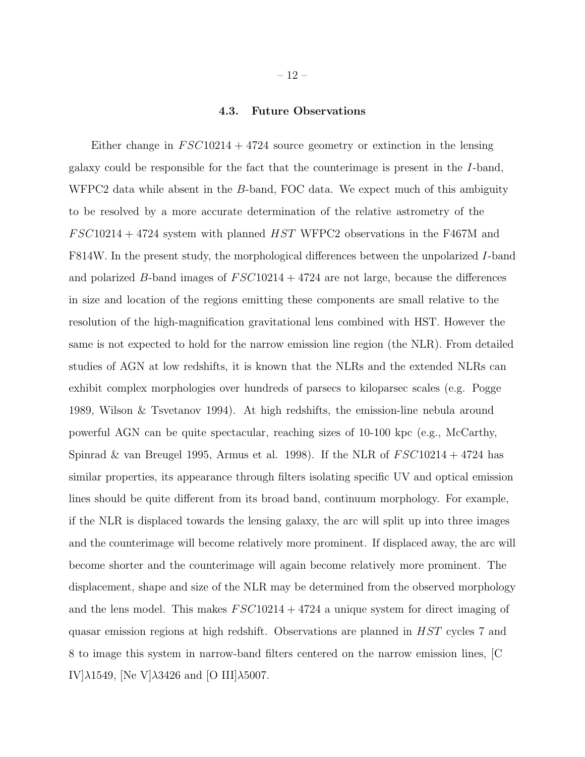#### 4.3. Future Observations

Either change in  $FSC10214 + 4724$  source geometry or extinction in the lensing galaxy could be responsible for the fact that the counterimage is present in the I-band, WFPC2 data while absent in the B-band, FOC data. We expect much of this ambiguity to be resolved by a more accurate determination of the relative astrometry of the  $FSC10214 + 4724$  system with planned HST WFPC2 observations in the F467M and F814W. In the present study, the morphological differences between the unpolarized I-band and polarized B-band images of  $FSC10214 + 4724$  are not large, because the differences in size and location of the regions emitting these components are small relative to the resolution of the high-magnification gravitational lens combined with HST. However the same is not expected to hold for the narrow emission line region (the NLR). From detailed studies of AGN at low redshifts, it is known that the NLRs and the extended NLRs can exhibit complex morphologies over hundreds of parsecs to kiloparsec scales (e.g. Pogge 1989, Wilson & Tsvetanov 1994). At high redshifts, the emission-line nebula around powerful AGN can be quite spectacular, reaching sizes of 10-100 kpc (e.g., McCarthy, Spinrad & van Breugel 1995, Armus et al. 1998). If the NLR of  $FSC10214 + 4724$  has similar properties, its appearance through filters isolating specific UV and optical emission lines should be quite different from its broad band, continuum morphology. For example, if the NLR is displaced towards the lensing galaxy, the arc will split up into three images and the counterimage will become relatively more prominent. If displaced away, the arc will become shorter and the counterimage will again become relatively more prominent. The displacement, shape and size of the NLR may be determined from the observed morphology and the lens model. This makes  $FSC10214 + 4724$  a unique system for direct imaging of quasar emission regions at high redshift. Observations are planned in HST cycles 7 and 8 to image this system in narrow-band filters centered on the narrow emission lines, [C IV] $\lambda$ 1549, [Ne V] $\lambda$ 3426 and [O III] $\lambda$ 5007.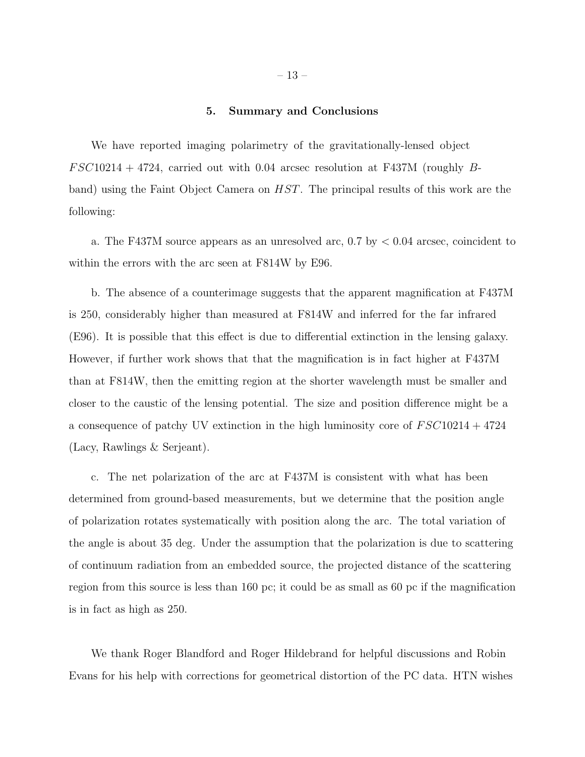### 5. Summary and Conclusions

We have reported imaging polarimetry of the gravitationally-lensed object  $FSC10214 + 4724$ , carried out with 0.04 arcsec resolution at F437M (roughly Bband) using the Faint Object Camera on HST. The principal results of this work are the following:

a. The F437M source appears as an unresolved arc,  $0.7$  by  $\lt 0.04$  arcsec, coincident to within the errors with the arc seen at F814W by E96.

b. The absence of a counterimage suggests that the apparent magnification at F437M is 250, considerably higher than measured at F814W and inferred for the far infrared (E96). It is possible that this effect is due to differential extinction in the lensing galaxy. However, if further work shows that that the magnification is in fact higher at F437M than at F814W, then the emitting region at the shorter wavelength must be smaller and closer to the caustic of the lensing potential. The size and position difference might be a a consequence of patchy UV extinction in the high luminosity core of  $FSC10214 + 4724$ (Lacy, Rawlings & Serjeant).

c. The net polarization of the arc at F437M is consistent with what has been determined from ground-based measurements, but we determine that the position angle of polarization rotates systematically with position along the arc. The total variation of the angle is about 35 deg. Under the assumption that the polarization is due to scattering of continuum radiation from an embedded source, the projected distance of the scattering region from this source is less than 160 pc; it could be as small as 60 pc if the magnification is in fact as high as 250.

We thank Roger Blandford and Roger Hildebrand for helpful discussions and Robin Evans for his help with corrections for geometrical distortion of the PC data. HTN wishes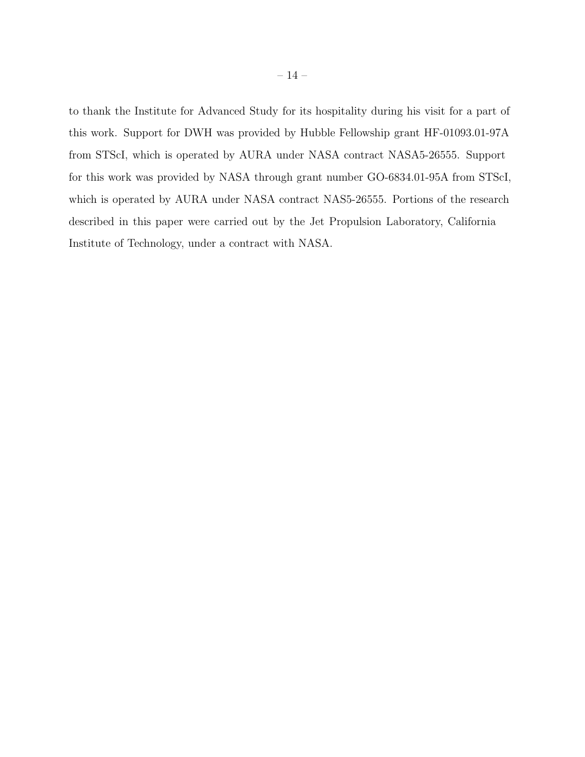to thank the Institute for Advanced Study for its hospitality during his visit for a part of this work. Support for DWH was provided by Hubble Fellowship grant HF-01093.01-97A from STScI, which is operated by AURA under NASA contract NASA5-26555. Support for this work was provided by NASA through grant number GO-6834.01-95A from STScI, which is operated by AURA under NASA contract NAS5-26555. Portions of the research described in this paper were carried out by the Jet Propulsion Laboratory, California Institute of Technology, under a contract with NASA.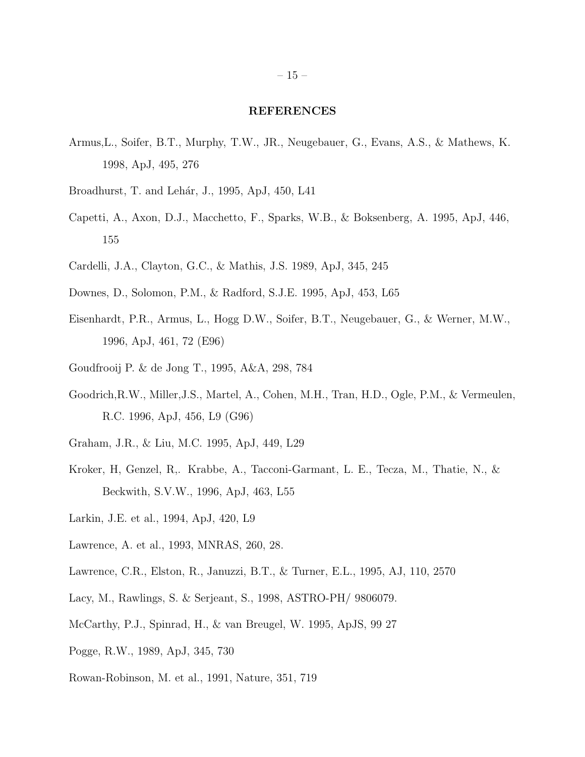#### REFERENCES

- Armus,L., Soifer, B.T., Murphy, T.W., JR., Neugebauer, G., Evans, A.S., & Mathews, K. 1998, ApJ, 495, 276
- Broadhurst, T. and Lehár, J., 1995, ApJ, 450, L41
- Capetti, A., Axon, D.J., Macchetto, F., Sparks, W.B., & Boksenberg, A. 1995, ApJ, 446, 155
- Cardelli, J.A., Clayton, G.C., & Mathis, J.S. 1989, ApJ, 345, 245
- Downes, D., Solomon, P.M., & Radford, S.J.E. 1995, ApJ, 453, L65
- Eisenhardt, P.R., Armus, L., Hogg D.W., Soifer, B.T., Neugebauer, G., & Werner, M.W., 1996, ApJ, 461, 72 (E96)
- Goudfrooij P. & de Jong T., 1995, A&A, 298, 784
- Goodrich,R.W., Miller,J.S., Martel, A., Cohen, M.H., Tran, H.D., Ogle, P.M., & Vermeulen, R.C. 1996, ApJ, 456, L9 (G96)
- Graham, J.R., & Liu, M.C. 1995, ApJ, 449, L29
- Kroker, H, Genzel, R,. Krabbe, A., Tacconi-Garmant, L. E., Tecza, M., Thatie, N., & Beckwith, S.V.W., 1996, ApJ, 463, L55
- Larkin, J.E. et al., 1994, ApJ, 420, L9
- Lawrence, A. et al., 1993, MNRAS, 260, 28.
- Lawrence, C.R., Elston, R., Januzzi, B.T., & Turner, E.L., 1995, AJ, 110, 2570
- Lacy, M., Rawlings, S. & Serjeant, S., 1998, ASTRO-PH/ 9806079.
- McCarthy, P.J., Spinrad, H., & van Breugel, W. 1995, ApJS, 99 27
- Pogge, R.W., 1989, ApJ, 345, 730
- Rowan-Robinson, M. et al., 1991, Nature, 351, 719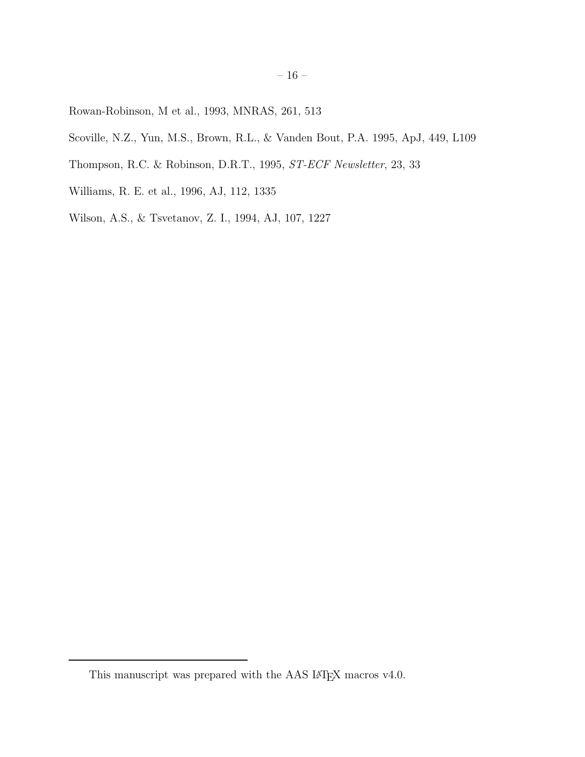Rowan-Robinson, M et al., 1993, MNRAS, 261, 513

- Scoville, N.Z., Yun, M.S., Brown, R.L., & Vanden Bout, P.A. 1995, ApJ, 449, L109
- Thompson, R.C. & Robinson, D.R.T., 1995, *ST-ECF Newsletter*, 23, 33
- Williams, R. E. et al., 1996, AJ, 112, 1335
- Wilson, A.S., & Tsvetanov, Z. I., 1994, AJ, 107, 1227

This manuscript was prepared with the AAS IATEX macros v4.0.  $\,$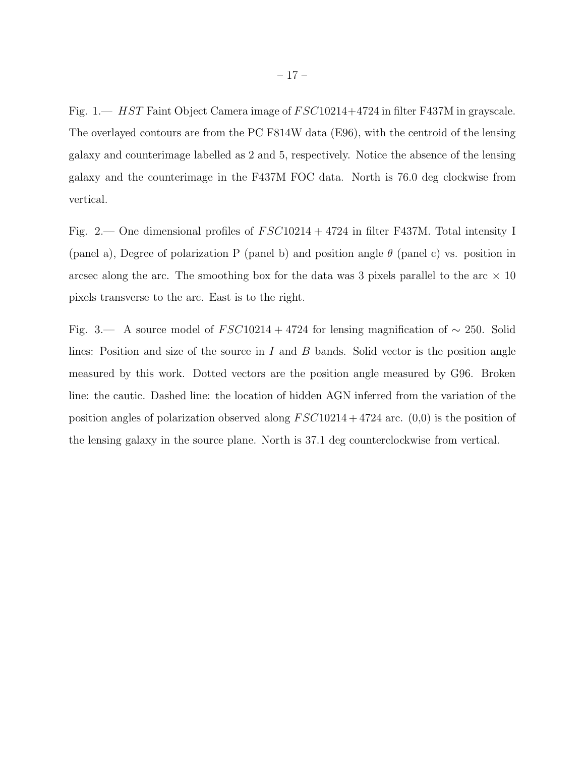Fig. 1.—  $HST$  Faint Object Camera image of  $FSC10214+4724$  in filter F437M in grayscale. The overlayed contours are from the PC F814W data (E96), with the centroid of the lensing galaxy and counterimage labelled as 2 and 5, respectively. Notice the absence of the lensing galaxy and the counterimage in the F437M FOC data. North is 76.0 deg clockwise from vertical.

Fig. 2.— One dimensional profiles of  $FSC10214 + 4724$  in filter F437M. Total intensity I (panel a), Degree of polarization P (panel b) and position angle  $\theta$  (panel c) vs. position in arcsec along the arc. The smoothing box for the data was 3 pixels parallel to the arc  $\times$  10 pixels transverse to the arc. East is to the right.

Fig. 3.— A source model of  $FSC10214 + 4724$  for lensing magnification of ~ 250. Solid lines: Position and size of the source in  $I$  and  $B$  bands. Solid vector is the position angle measured by this work. Dotted vectors are the position angle measured by G96. Broken line: the cautic. Dashed line: the location of hidden AGN inferred from the variation of the position angles of polarization observed along  $FSC10214 + 4724$  arc.  $(0,0)$  is the position of the lensing galaxy in the source plane. North is 37.1 deg counterclockwise from vertical.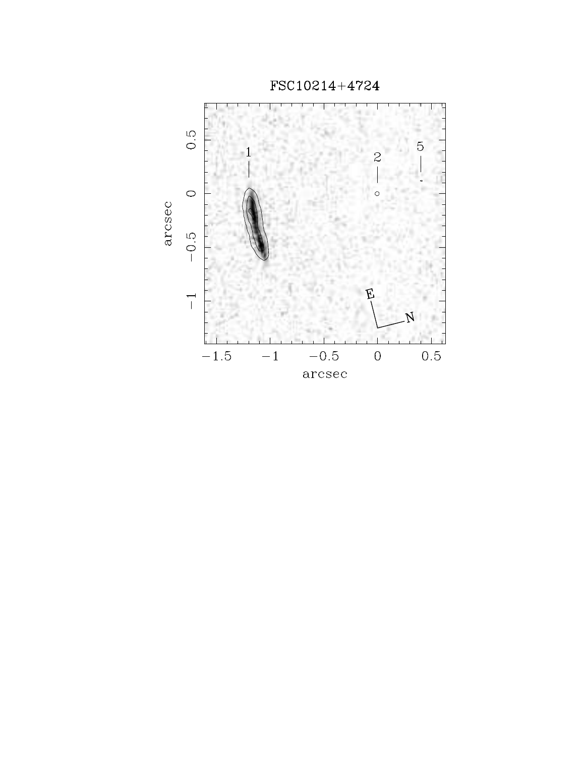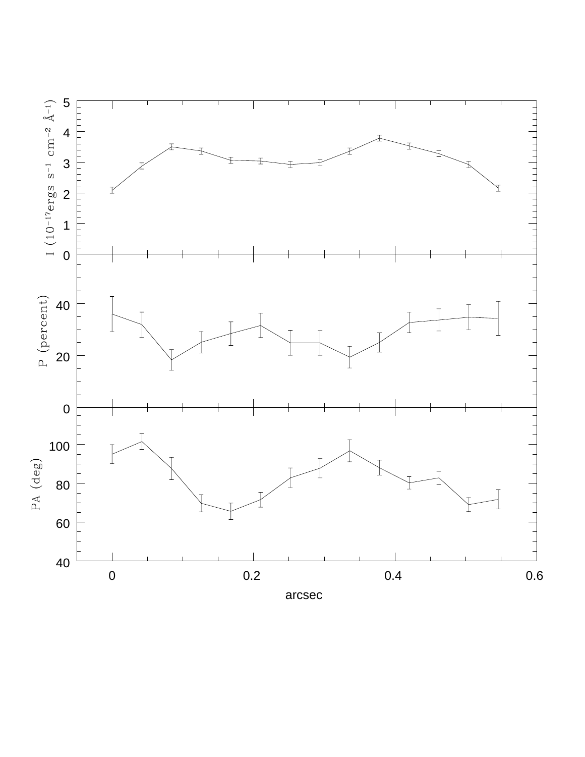